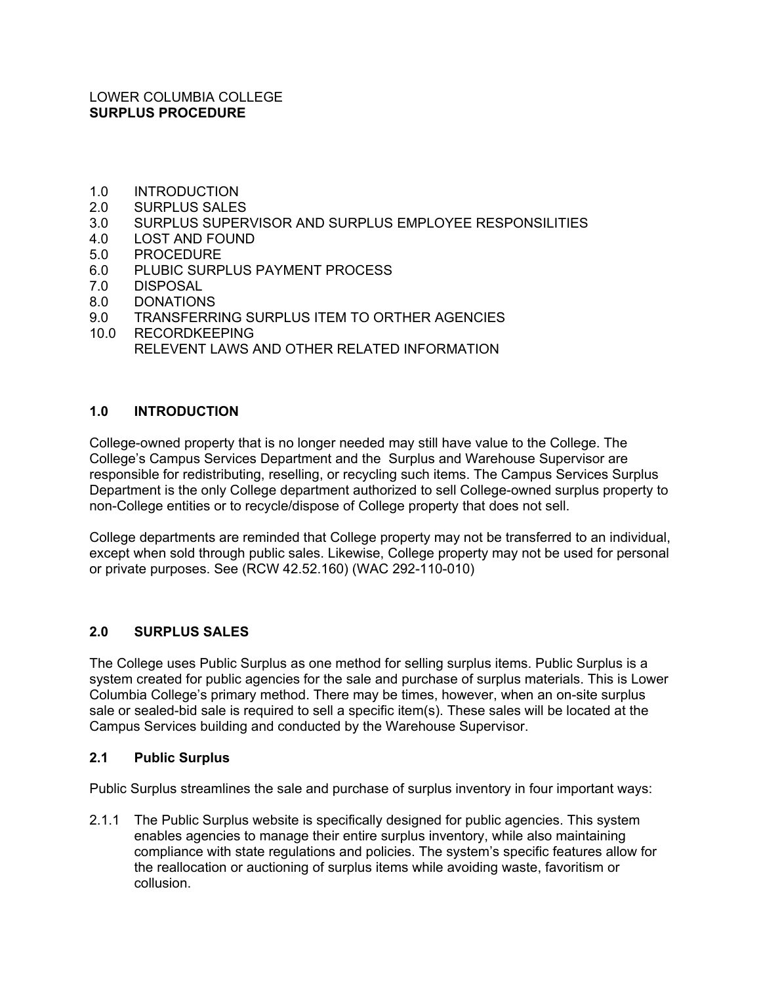### LOWER COLUMBIA COLLEGE **SURPLUS PROCEDURE**

- 1.0 INTRODUCTION
- 2.0 SURPLUS SALES
- 3.0 SURPLUS SUPERVISOR AND SURPLUS EMPLOYEE RESPONSILITIES
- 4.0 LOST AND FOUND
- 5.0 PROCEDURE
- 6.0 PLUBIC SURPLUS PAYMENT PROCESS
- 7.0 DISPOSAL
- 8.0 DONATIONS
- 9.0 TRANSFERRING SURPLUS ITEM TO ORTHER AGENCIES
- 10.0 RECORDKEEPING RELEVENT LAWS AND OTHER RELATED INFORMATION

## **1.0 INTRODUCTION**

College-owned property that is no longer needed may still have value to the College. The College's Campus Services Department and the Surplus and Warehouse Supervisor are responsible for redistributing, reselling, or recycling such items. The Campus Services Surplus Department is the only College department authorized to sell College-owned surplus property to non-College entities or to recycle/dispose of College property that does not sell.

College departments are reminded that College property may not be transferred to an individual, except when sold through public sales. Likewise, College property may not be used for personal or private purposes. See (RCW 42.52.160) (WAC 292-110-010)

#### **2.0 SURPLUS SALES**

The College uses Public Surplus as one method for selling surplus items. Public Surplus is a system created for public agencies for the sale and purchase of surplus materials. This is Lower Columbia College's primary method. There may be times, however, when an on-site surplus sale or sealed-bid sale is required to sell a specific item(s). These sales will be located at the Campus Services building and conducted by the Warehouse Supervisor.

#### **2.1 Public Surplus**

Public Surplus streamlines the sale and purchase of surplus inventory in four important ways:

2.1.1 The Public Surplus website is specifically designed for public agencies. This system enables agencies to manage their entire surplus inventory, while also maintaining compliance with state regulations and policies. The system's specific features allow for the reallocation or auctioning of surplus items while avoiding waste, favoritism or collusion.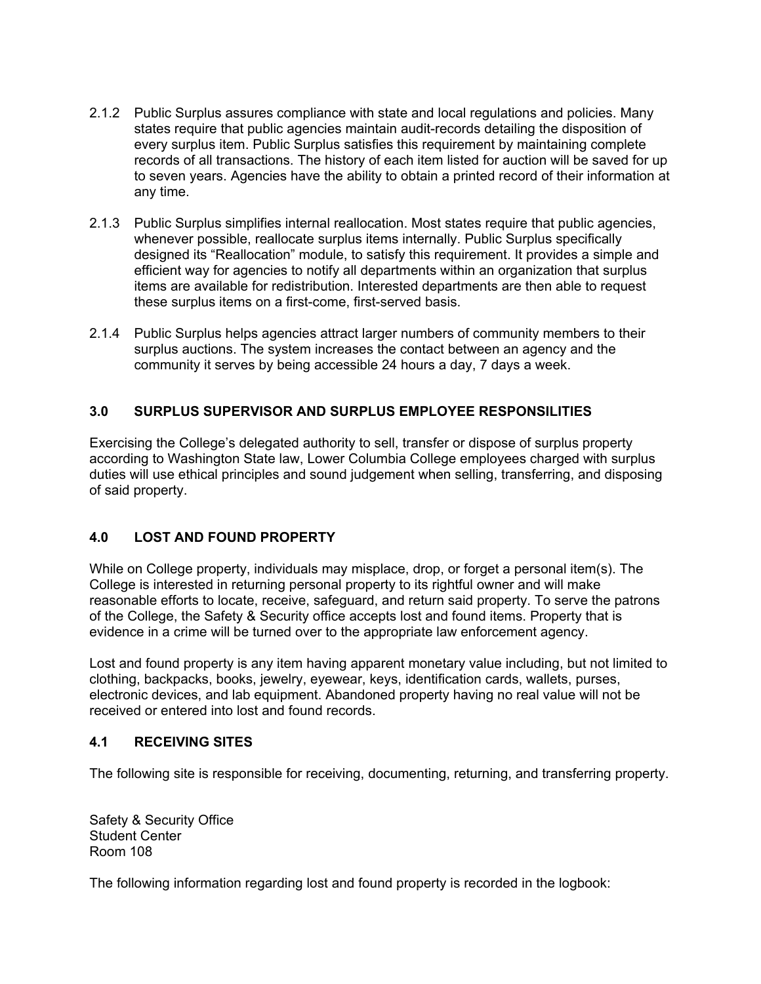- 2.1.2 Public Surplus assures compliance with state and local regulations and policies. Many states require that public agencies maintain audit-records detailing the disposition of every surplus item. Public Surplus satisfies this requirement by maintaining complete records of all transactions. The history of each item listed for auction will be saved for up to seven years. Agencies have the ability to obtain a printed record of their information at any time.
- 2.1.3 Public Surplus simplifies internal reallocation. Most states require that public agencies, whenever possible, reallocate surplus items internally. Public Surplus specifically designed its "Reallocation" module, to satisfy this requirement. It provides a simple and efficient way for agencies to notify all departments within an organization that surplus items are available for redistribution. Interested departments are then able to request these surplus items on a first-come, first-served basis.
- 2.1.4 Public Surplus helps agencies attract larger numbers of community members to their surplus auctions. The system increases the contact between an agency and the community it serves by being accessible 24 hours a day, 7 days a week.

## **3.0 SURPLUS SUPERVISOR AND SURPLUS EMPLOYEE RESPONSILITIES**

Exercising the College's delegated authority to sell, transfer or dispose of surplus property according to Washington State law, Lower Columbia College employees charged with surplus duties will use ethical principles and sound judgement when selling, transferring, and disposing of said property.

## **4.0 LOST AND FOUND PROPERTY**

While on College property, individuals may misplace, drop, or forget a personal item(s). The College is interested in returning personal property to its rightful owner and will make reasonable efforts to locate, receive, safeguard, and return said property. To serve the patrons of the College, the Safety & Security office accepts lost and found items. Property that is evidence in a crime will be turned over to the appropriate law enforcement agency.

Lost and found property is any item having apparent monetary value including, but not limited to clothing, backpacks, books, jewelry, eyewear, keys, identification cards, wallets, purses, electronic devices, and lab equipment. Abandoned property having no real value will not be received or entered into lost and found records.

## **4.1 RECEIVING SITES**

The following site is responsible for receiving, documenting, returning, and transferring property.

Safety & Security Office Student Center Room 108

The following information regarding lost and found property is recorded in the logbook: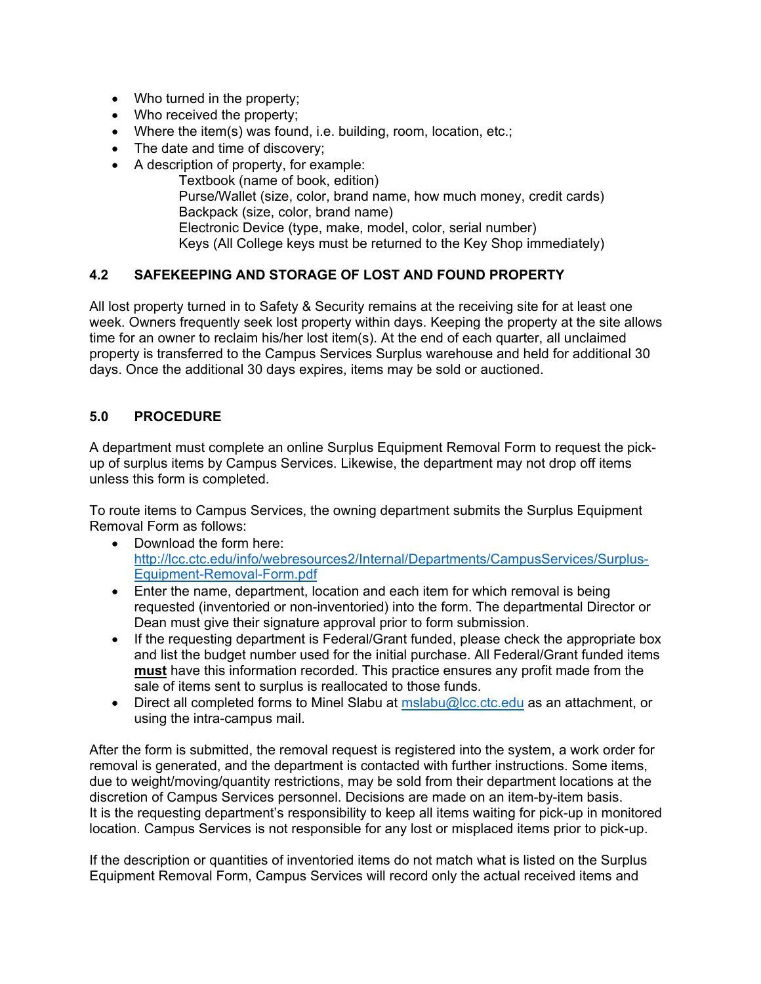- Who turned in the property;
- Who received the property;
- Where the item(s) was found, i.e. building, room, location, etc.;
- The date and time of discovery;
- A description of property, for example:
	- Textbook (name of book, edition) Purse/Wallet (size, color, brand name, how much money, credit cards) Backpack (size, color, brand name) Electronic Device (type, make, model, color, serial number) Keys (All College keys must be returned to the Key Shop immediately)

## **4.2 SAFEKEEPING AND STORAGE OF LOST AND FOUND PROPERTY**

All lost property turned in to Safety & Security remains at the receiving site for at least one week. Owners frequently seek lost property within days. Keeping the property at the site allows time for an owner to reclaim his/her lost item(s). At the end of each quarter, all unclaimed property is transferred to the Campus Services Surplus warehouse and held for additional 30 days. Once the additional 30 days expires, items may be sold or auctioned.

## **5.0 PROCEDURE**

A department must complete an online Surplus Equipment Removal Form to request the pickup of surplus items by Campus Services. Likewise, the department may not drop off items unless this form is completed.

To route items to Campus Services, the owning department submits the Surplus Equipment Removal Form as follows:

- Download the form here: http://lcc.ctc.edu/info/webresources2/Internal/Departments/CampusServices/Surplus-Equipment-Removal-Form.pdf
- Enter the name, department, location and each item for which removal is being requested (inventoried or non-inventoried) into the form. The departmental Director or Dean must give their signature approval prior to form submission.
- If the requesting department is Federal/Grant funded, please check the appropriate box and list the budget number used for the initial purchase. All Federal/Grant funded items **must** have this information recorded. This practice ensures any profit made from the sale of items sent to surplus is reallocated to those funds.
- $\bullet$  Direct all completed forms to Minel Slabu at mslabu@lcc.ctc.edu as an attachment, or using the intra-campus mail.

After the form is submitted, the removal request is registered into the system, a work order for removal is generated, and the department is contacted with further instructions. Some items, due to weight/moving/quantity restrictions, may be sold from their department locations at the discretion of Campus Services personnel. Decisions are made on an item-by-item basis. It is the requesting department's responsibility to keep all items waiting for pick-up in monitored location. Campus Services is not responsible for any lost or misplaced items prior to pick-up.

If the description or quantities of inventoried items do not match what is listed on the Surplus Equipment Removal Form, Campus Services will record only the actual received items and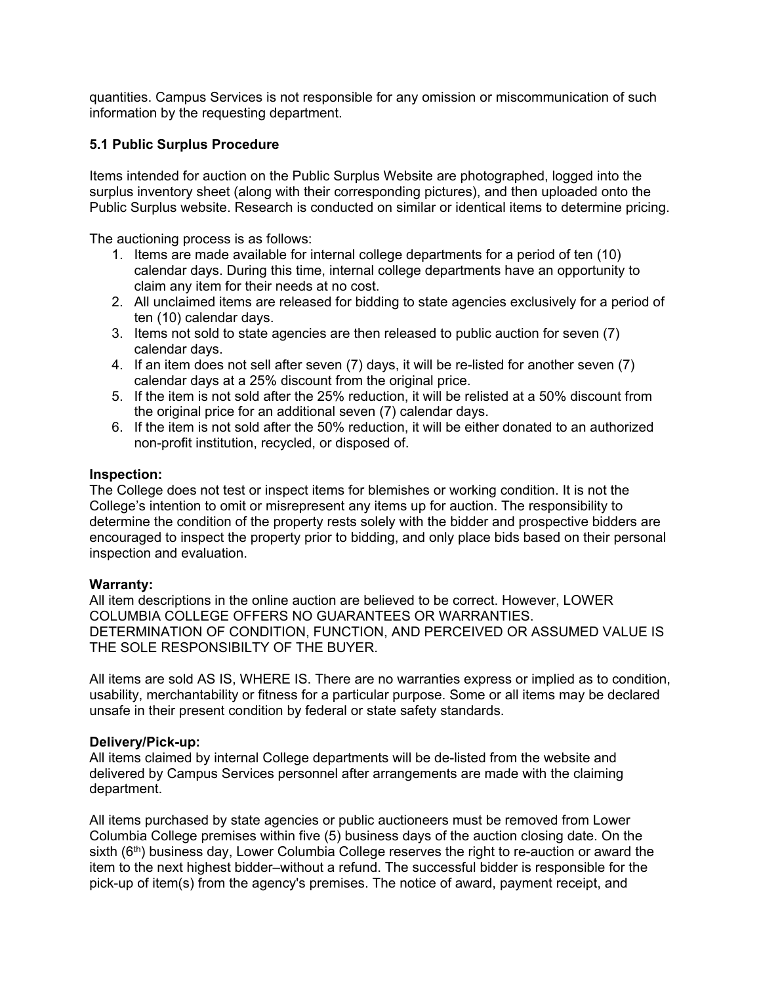quantities. Campus Services is not responsible for any omission or miscommunication of such information by the requesting department.

## **5.1 Public Surplus Procedure**

Items intended for auction on the Public Surplus Website are photographed, logged into the surplus inventory sheet (along with their corresponding pictures), and then uploaded onto the Public Surplus website. Research is conducted on similar or identical items to determine pricing.

The auctioning process is as follows:

- 1. Items are made available for internal college departments for a period of ten (10) calendar days. During this time, internal college departments have an opportunity to claim any item for their needs at no cost.
- 2. All unclaimed items are released for bidding to state agencies exclusively for a period of ten (10) calendar days.
- 3. Items not sold to state agencies are then released to public auction for seven (7) calendar days.
- 4. If an item does not sell after seven (7) days, it will be re-listed for another seven (7) calendar days at a 25% discount from the original price.
- 5. If the item is not sold after the 25% reduction, it will be relisted at a 50% discount from the original price for an additional seven (7) calendar days.
- 6. If the item is not sold after the 50% reduction, it will be either donated to an authorized non-profit institution, recycled, or disposed of.

#### **Inspection:**

The College does not test or inspect items for blemishes or working condition. It is not the College's intention to omit or misrepresent any items up for auction. The responsibility to determine the condition of the property rests solely with the bidder and prospective bidders are encouraged to inspect the property prior to bidding, and only place bids based on their personal inspection and evaluation.

#### **Warranty:**

All item descriptions in the online auction are believed to be correct. However, LOWER COLUMBIA COLLEGE OFFERS NO GUARANTEES OR WARRANTIES. DETERMINATION OF CONDITION, FUNCTION, AND PERCEIVED OR ASSUMED VALUE IS THE SOLE RESPONSIBILTY OF THE BUYER.

All items are sold AS IS, WHERE IS. There are no warranties express or implied as to condition, usability, merchantability or fitness for a particular purpose. Some or all items may be declared unsafe in their present condition by federal or state safety standards.

#### **Delivery/Pick-up:**

All items claimed by internal College departments will be de-listed from the website and delivered by Campus Services personnel after arrangements are made with the claiming department.

All items purchased by state agencies or public auctioneers must be removed from Lower Columbia College premises within five (5) business days of the auction closing date. On the sixth  $(6<sup>th</sup>)$  business day, Lower Columbia College reserves the right to re-auction or award the item to the next highest bidder–without a refund. The successful bidder is responsible for the pick-up of item(s) from the agency's premises. The notice of award, payment receipt, and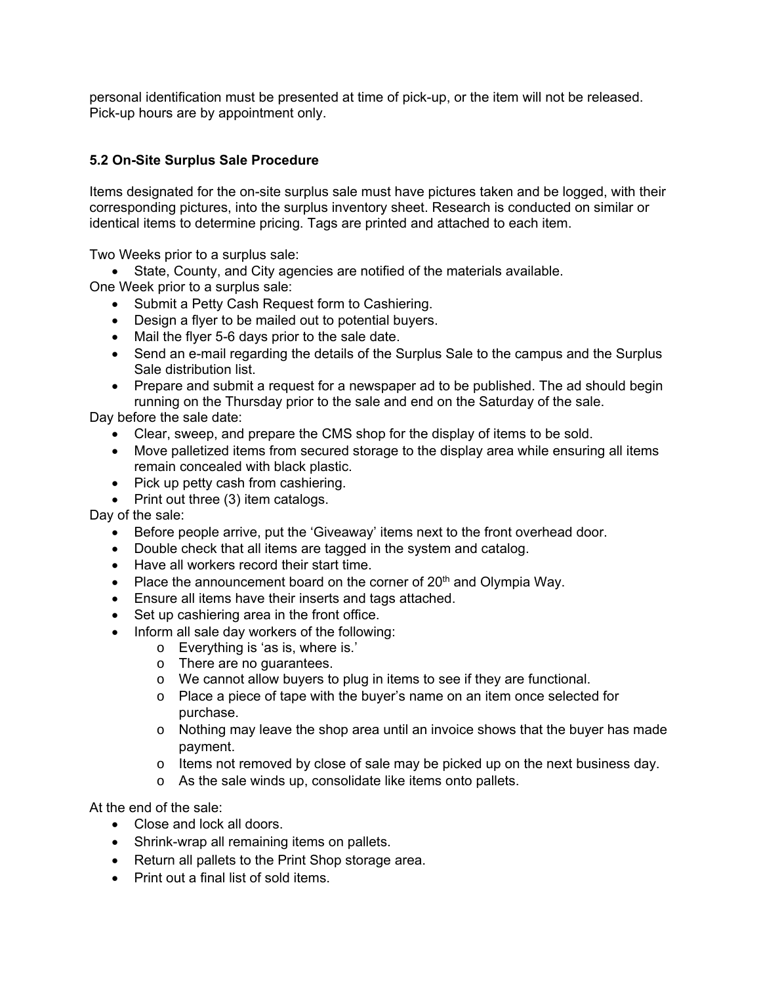personal identification must be presented at time of pick-up, or the item will not be released. Pick-up hours are by appointment only.

# **5.2 On-Site Surplus Sale Procedure**

Items designated for the on-site surplus sale must have pictures taken and be logged, with their corresponding pictures, into the surplus inventory sheet. Research is conducted on similar or identical items to determine pricing. Tags are printed and attached to each item.

Two Weeks prior to a surplus sale:

- State, County, and City agencies are notified of the materials available.
- One Week prior to a surplus sale:
	- Submit a Petty Cash Request form to Cashiering.
	- Design a flyer to be mailed out to potential buyers.
	- Mail the flyer 5-6 days prior to the sale date.
	- Send an e-mail regarding the details of the Surplus Sale to the campus and the Surplus Sale distribution list.
	- Prepare and submit a request for a newspaper ad to be published. The ad should begin running on the Thursday prior to the sale and end on the Saturday of the sale.

Day before the sale date:

- Clear, sweep, and prepare the CMS shop for the display of items to be sold.
- Move palletized items from secured storage to the display area while ensuring all items remain concealed with black plastic.
- Pick up petty cash from cashiering.
- Print out three (3) item catalogs.

Day of the sale:

- Before people arrive, put the 'Giveaway' items next to the front overhead door.
- Double check that all items are tagged in the system and catalog.
- Have all workers record their start time.
- Place the announcement board on the corner of  $20<sup>th</sup>$  and Olympia Way.
- Ensure all items have their inserts and tags attached.
- Set up cashiering area in the front office.
- Inform all sale day workers of the following:
	- o Everything is 'as is, where is.'
	- o There are no guarantees.
	- o We cannot allow buyers to plug in items to see if they are functional.
	- o Place a piece of tape with the buyer's name on an item once selected for purchase.
	- o Nothing may leave the shop area until an invoice shows that the buyer has made payment.
	- $\circ$  Items not removed by close of sale may be picked up on the next business day.
	- o As the sale winds up, consolidate like items onto pallets.

At the end of the sale:

- Close and lock all doors.
- Shrink-wrap all remaining items on pallets.
- Return all pallets to the Print Shop storage area.
- Print out a final list of sold items.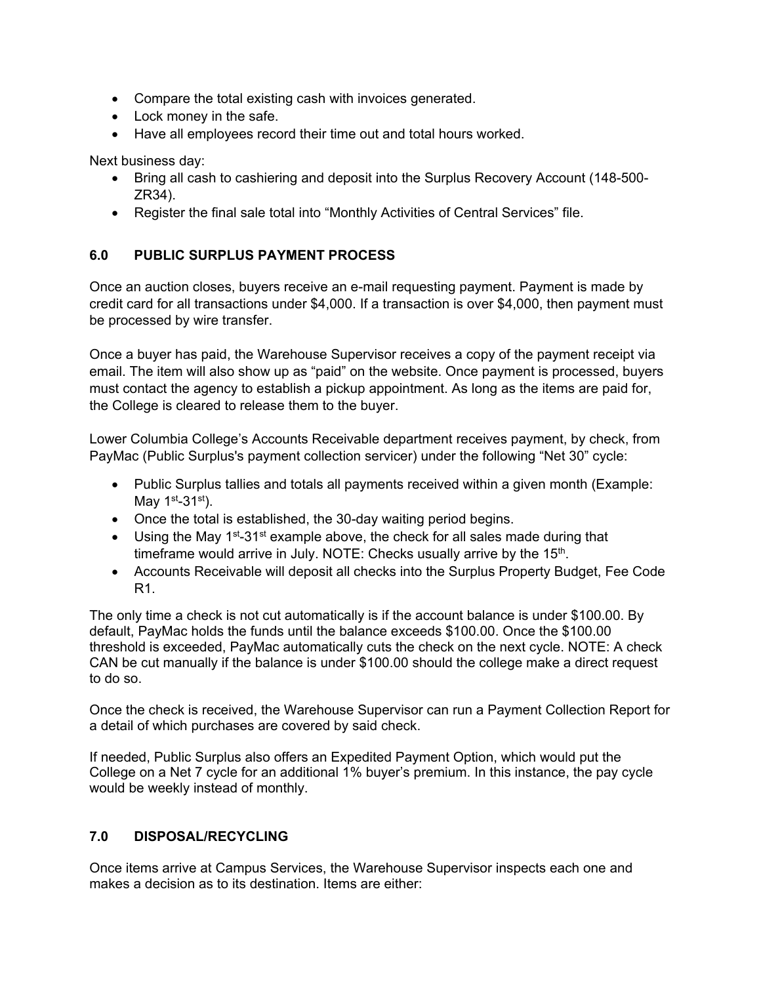- Compare the total existing cash with invoices generated.
- Lock money in the safe.
- Have all employees record their time out and total hours worked.

Next business day:

- Bring all cash to cashiering and deposit into the Surplus Recovery Account (148-500- ZR34).
- Register the final sale total into "Monthly Activities of Central Services" file.

## **6.0 PUBLIC SURPLUS PAYMENT PROCESS**

Once an auction closes, buyers receive an e-mail requesting payment. Payment is made by credit card for all transactions under \$4,000. If a transaction is over \$4,000, then payment must be processed by wire transfer.

Once a buyer has paid, the Warehouse Supervisor receives a copy of the payment receipt via email. The item will also show up as "paid" on the website. Once payment is processed, buyers must contact the agency to establish a pickup appointment. As long as the items are paid for, the College is cleared to release them to the buyer.

Lower Columbia College's Accounts Receivable department receives payment, by check, from PayMac (Public Surplus's payment collection servicer) under the following "Net 30" cycle:

- Public Surplus tallies and totals all payments received within a given month (Example: May  $1<sup>st</sup>-31<sup>st</sup>$ .
- Once the total is established, the 30-day waiting period begins.
- Using the May  $1^{st}$ -31st example above, the check for all sales made during that timeframe would arrive in July. NOTE: Checks usually arrive by the 15<sup>th</sup>.
- Accounts Receivable will deposit all checks into the Surplus Property Budget, Fee Code R1.

The only time a check is not cut automatically is if the account balance is under \$100.00. By default, PayMac holds the funds until the balance exceeds \$100.00. Once the \$100.00 threshold is exceeded, PayMac automatically cuts the check on the next cycle. NOTE: A check CAN be cut manually if the balance is under \$100.00 should the college make a direct request to do so.

Once the check is received, the Warehouse Supervisor can run a Payment Collection Report for a detail of which purchases are covered by said check.

If needed, Public Surplus also offers an Expedited Payment Option, which would put the College on a Net 7 cycle for an additional 1% buyer's premium. In this instance, the pay cycle would be weekly instead of monthly.

## **7.0 DISPOSAL/RECYCLING**

Once items arrive at Campus Services, the Warehouse Supervisor inspects each one and makes a decision as to its destination. Items are either: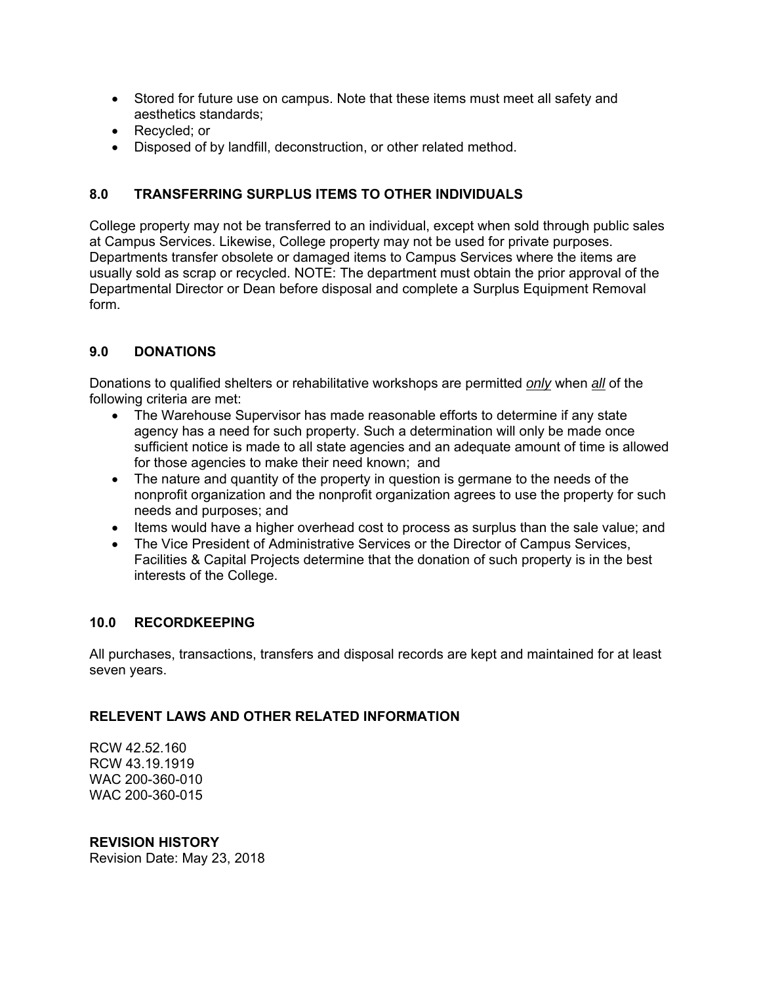- Stored for future use on campus. Note that these items must meet all safety and aesthetics standards;
- Recycled; or
- Disposed of by landfill, deconstruction, or other related method.

# **8.0 TRANSFERRING SURPLUS ITEMS TO OTHER INDIVIDUALS**

College property may not be transferred to an individual, except when sold through public sales at Campus Services. Likewise, College property may not be used for private purposes. Departments transfer obsolete or damaged items to Campus Services where the items are usually sold as scrap or recycled. NOTE: The department must obtain the prior approval of the Departmental Director or Dean before disposal and complete a Surplus Equipment Removal form.

## **9.0 DONATIONS**

Donations to qualified shelters or rehabilitative workshops are permitted *only* when *all* of the following criteria are met:

- The Warehouse Supervisor has made reasonable efforts to determine if any state agency has a need for such property. Such a determination will only be made once sufficient notice is made to all state agencies and an adequate amount of time is allowed for those agencies to make their need known; and
- The nature and quantity of the property in question is germane to the needs of the nonprofit organization and the nonprofit organization agrees to use the property for such needs and purposes; and
- Items would have a higher overhead cost to process as surplus than the sale value; and
- The Vice President of Administrative Services or the Director of Campus Services, Facilities & Capital Projects determine that the donation of such property is in the best interests of the College.

## **10.0 RECORDKEEPING**

All purchases, transactions, transfers and disposal records are kept and maintained for at least seven years.

## **RELEVENT LAWS AND OTHER RELATED INFORMATION**

RCW 42.52.160 RCW 43.19.1919 WAC 200-360-010 WAC 200-360-015

# **REVISION HISTORY**

Revision Date: May 23, 2018